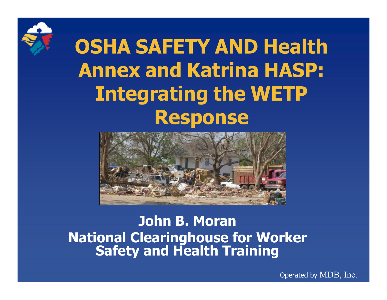

OSHA SAFETY AND Health Annex and Katrina HASP: Integrating the WETPResponse



John B. Moran National Clearinghouse for Worker Safety and Health Training

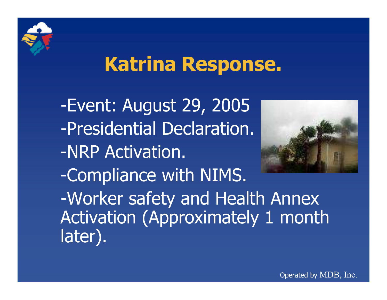

## Katrina Response.

-Event: August 29, <sup>2005</sup> -Presidential Declaration.-NRP Activation. -Compliance with NIMS. -Worker safety and Health Annex Activation (Approximately <sup>1</sup> month later).

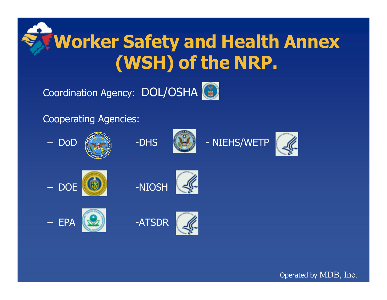### Worker Safety and Health Annex (WSH) of the NRP.

Coordination Agency: DOL/OSHA

Cooperating Agencies:

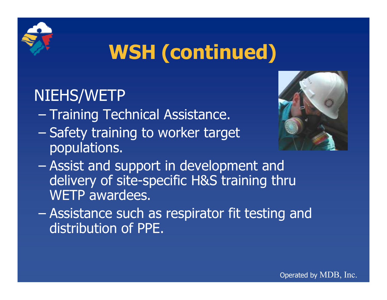

# WSH (continued)

### NIEHS/WETP

- –Training Technical Assistance.
- $\mathcal{L}_{\mathcal{A}}$  Safety training to worker target populations.



- – Assist and support in development and delivery of site-specific H&S training thru WETP awardees.
- – Assistance such as respirator fit testing and distribution of PPE.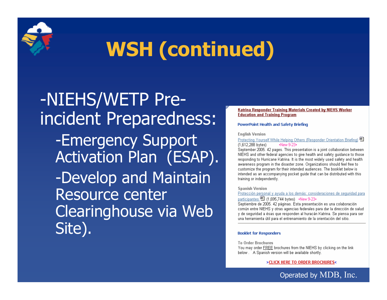# WSH (continued)

-NIEHS/WETP Preincident Preparedness:-Emergency Support Activation Plan (ESAP). -Develop and MaintainResource center Clearinghouse via WebSite).

### **Katrina Responder Training Materials Created by NIEHS Worker Education and Training Program**

### **PowerPoint Health and Safety Briefing**

#### **English Version**

Protecting Yourself While Helping Others (Responder Orientation Briefing) 图 (1,612,288 bytes) -New 9-23-

September 2005. 42 pages. This presentation is a joint collaboration between. NIEHS and other federal agencies to give health and safety guidance to those responding to Hurricane Katrina. It is the most widely used safety and health awareness program in the disaster zone. Organizations should feel free to customize the program for their intended audiences. The booklet below is intended as an accompanying pocket guide that can be distributed with this training or independently.

### **Spanish Version**

Protección personal y ayuda a los demás: consideraciones de seguridad para participantes 图 (1,695,744 bytes) •New 9-23•

Septiembre de 2005. 42 páginas. Esta presentación es una colaboración común entre NIEHS y otras agencias federales para dar la dirección de salud y de seguridad a ésas que responden al huracán Katrina. Se piensa para ser una herramienta útil para el entrenamiento de la orientación del sitio.

### **Booklet for Responders**

**To Order Brochures** 

You may order FREE brochures from the NIEHS by clicking on the link below. A Spanish version will be available shortly.

>CLICK HERE TO ORDER BROCHURES<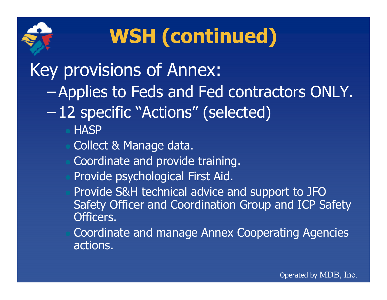

# WSH (continued)

### Key provisions of Annex:

- Applies to Feds and Fed contractors ONLY.
- 12 specific "Actions" (selected)
	- **HASP**
	- Collect & Manage data.
	- Coordinate and provide training.
	- Provide psychological First Aid.
	- Provide S&H technical advice and support to JFO Safety Officer and Coordination Group and ICP Safety Officers.
	- Coordinate and manage Annex Cooperating Agencies actions.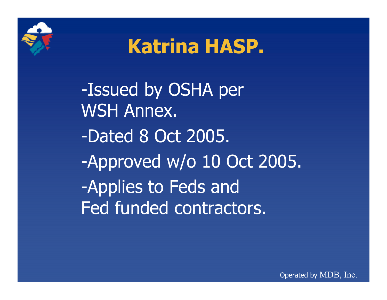

## Katrina HASP.

-Issued by OSHA per WSH Annex. -Dated <sup>8</sup> Oct 2005. -Approved w/o <sup>10</sup> Oct 2005. -Applies to Feds andFed funded contractors.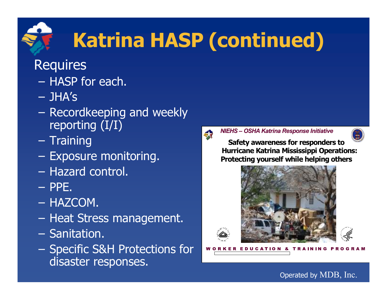# Katrina HASP (continued)

### **Requires**

- HASP for each.
- JHA's
- $\mathcal{L}_{\mathcal{A}}$ – Recordkeeping and weekly reporting (I/I)
- Training
- $-$  Exposure monitoring.
- Hazard control.
- PPE.
- HAZCOM.
- Heat Stress management.
- Sanitation.
- Specific S&H Protections for disaster responses.



NIEHS – OSHA Katrina Response Initiative

Safety awareness for responders to Hurricane Katrina Mississippi Operations: Protecting yourself while helping others



**WORKER EDUCATION & TRAINING PROGRAM**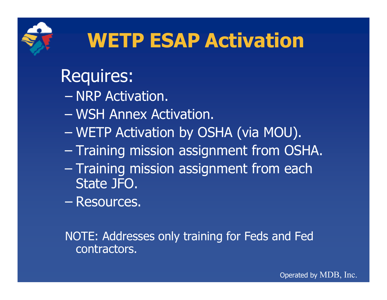

# WETP ESAP Activation

### Requires:

- NRP Activation.
- $\mathcal{L}_{\mathcal{A}}$  , where  $\mathcal{L}_{\mathcal{A}}$  is the set of the set of the set of the set of the set of the set of the set of the set of the set of the set of the set of the set of the set of the set of the set of the set of the WSH Annex Activation.
- $\mathcal{L}_{\mathcal{A}}$ WETP Activation by OSHA (via MOU).
- Training mission assignment from OSHA.
- $\mathcal{L}_{\mathcal{A}}$  , where  $\mathcal{L}_{\mathcal{A}}$  is the set of the set of the set of the set of the set of the set of the set of the set of the set of the set of the set of the set of the set of the set of the set of the set of the – Training mission assignment from each State JFO.
- $\mathcal{L}_{\mathcal{A}}$ Resources.

NOTE: Addresses only training for Feds and Fed contractors.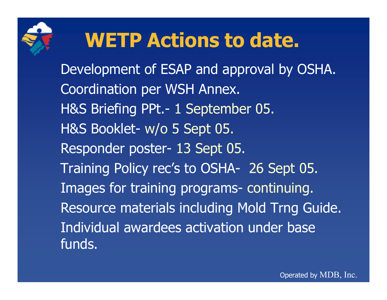

## WETP Actions to date.

Development of ESAP and approval by OSHA. Coordination per WSH Annex. H&S Briefing PPt.- 1 September 05. H&S Booklet- w/o 5 Sept 05. Responder poster- 13 Sept 05. Training Policy rec's to OSHA- 26 Sept 05. Images for training programs- continuing. Resource materials including Mold Trng Guide. Individual awardees activation under base funds.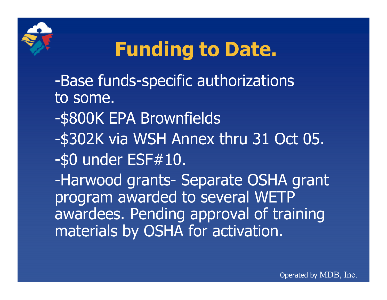

## Funding to Date.

- -Base funds-specific authorizations to some.
- -\$800K EPA Brownfields
- -\$302K via WSH Annex thru <sup>31</sup> Oct 05. -\$0 under ESF#10.

-Harwood grants- Separate OSHA grant program awarded to several WETP awardees. Pending approval of training materials by OSHA for activation.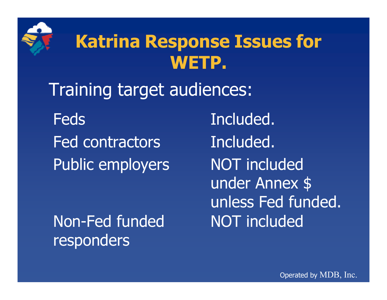

### Katrina Response Issues for WETP.

Training target audiences:

Feds **Included**. Fed contractors included. Public employers

Non-Fed funded MOT responders

NOT included under Annex \$ unless Fed funded. NOT included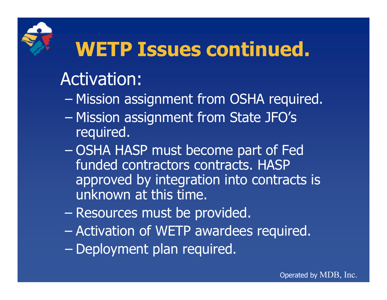## WETP Issues continued.

### Activation:

- Mission assignment from OSHA required.
- $\mathcal{L}_{\mathcal{A}}$  , where  $\mathcal{L}_{\mathcal{A}}$  is the set of the set of the set of the set of the set of the set of the set of the set of the set of the set of the set of the set of the set of the set of the set of the set of the Mission assignment from State JFO's required.
- $\mathcal{L}_{\mathcal{A}}$  OSHA HASP must become part of Fed funded contractors contracts. HASP approved by integration into contracts is unknown at this time.
- $\mathcal{L}_{\mathcal{A}}$  , where  $\mathcal{L}_{\mathcal{A}}$  is the set of the set of the set of the set of the set of the set of the set of the set of the set of the set of the set of the set of the set of the set of the set of the set of the Resources must be provided.
- –Activation of WETP awardees required.
- $\mathcal{L}_{\mathcal{A}}$ – Deployment plan required.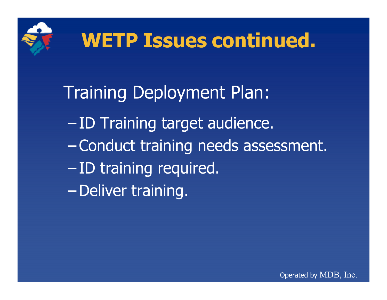

# WETP Issues continued.

### Training Deployment Plan:

- ID Training target audience. Conduct training needs assessment. –- ID training required. –Deliver training.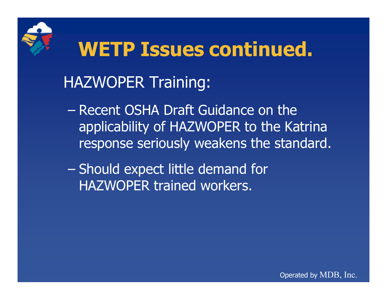

### WETP Issues continued. HAZWOPER Training:

- –– Recent OSHA Draft Guidance on the applicability of HAZWOPER to the Katrina response seriously weakens the standard.
- –– Should expect little demand for HAZWOPER trained workers.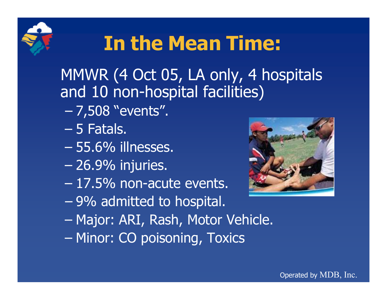# In the Mean Time:

MMWR (4 Oct 05, LA only, 4 hospitals and 10 non-hospital facilities)

- –7,508 "events".
- $\mathcal{L}_{\mathcal{A}}$  $-$  5 Fatals.
- –55.6% illnesses.
- –26.9% injuries.
- $\mathcal{L}_{\mathcal{A}}$  $-$  17.5% non-acute events.
- –9% admitted to hospital.
- –Major: ARI, Rash, Motor Vehicle.
- $\mathcal{L}_{\mathcal{A}}$ Minor: CO poisoning, Toxics